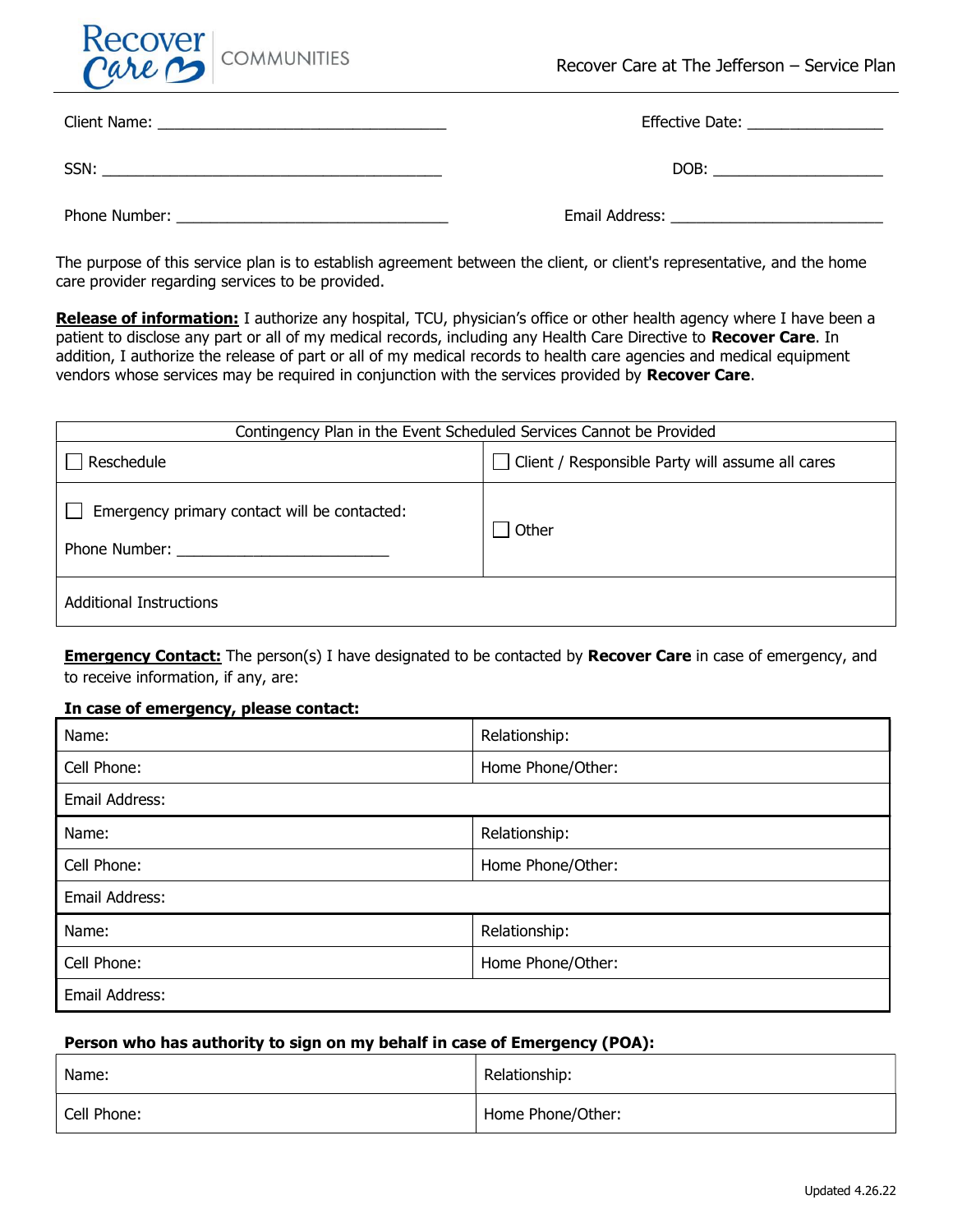

|               | Effective Date: _________________ |
|---------------|-----------------------------------|
| SSN:          | DOB: <u>___________</u>           |
| Phone Number: | Email Address:                    |

The purpose of this service plan is to establish agreement between the client, or client's representative, and the home care provider regarding services to be provided.

Release of information: I authorize any hospital, TCU, physician's office or other health agency where I have been a patient to disclose any part or all of my medical records, including any Health Care Directive to Recover Care. In addition, I authorize the release of part or all of my medical records to health care agencies and medical equipment vendors whose services may be required in conjunction with the services provided by Recover Care.

| Contingency Plan in the Event Scheduled Services Cannot be Provided |                                                  |  |
|---------------------------------------------------------------------|--------------------------------------------------|--|
| Reschedule                                                          | Client / Responsible Party will assume all cares |  |
| Emergency primary contact will be contacted:<br>Phone Number:       | Other                                            |  |
| <b>Additional Instructions</b>                                      |                                                  |  |

**Emergency Contact:** The person(s) I have designated to be contacted by **Recover Care** in case of emergency, and to receive information, if any, are:

#### In case of emergency, please contact:

| Name:          | Relationship:     |
|----------------|-------------------|
| Cell Phone:    | Home Phone/Other: |
| Email Address: |                   |
| Name:          | Relationship:     |
| Cell Phone:    | Home Phone/Other: |
| Email Address: |                   |
| Name:          | Relationship:     |
| Cell Phone:    | Home Phone/Other: |
| Email Address: |                   |

# Person who has authority to sign on my behalf in case of Emergency (POA):

| Name:       | Relationship:     |
|-------------|-------------------|
| Cell Phone: | Home Phone/Other: |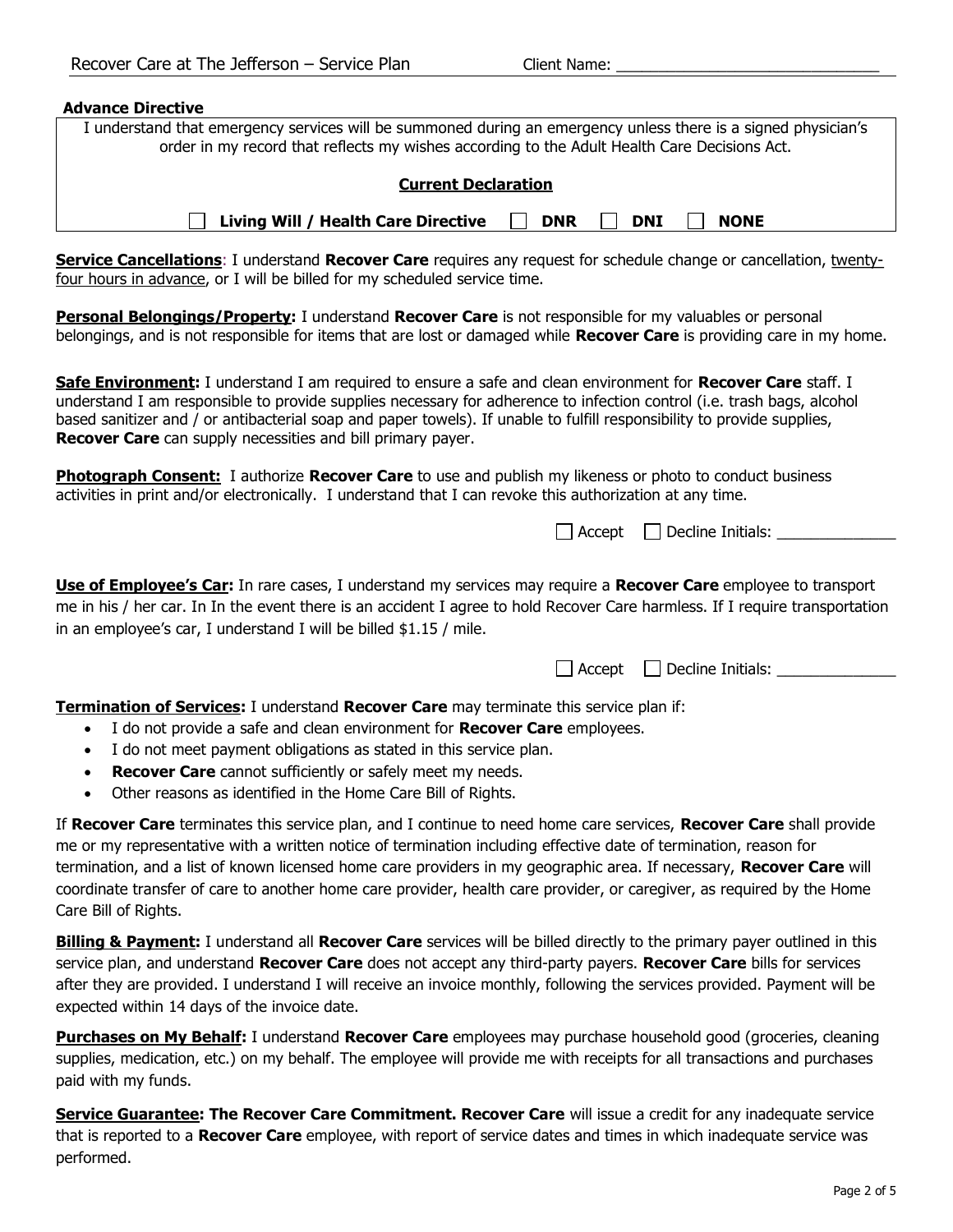| <b>Advance Directive</b>                                                                                                                                                                                                                                                                                                                                                                                                                                                                                          |  |  |
|-------------------------------------------------------------------------------------------------------------------------------------------------------------------------------------------------------------------------------------------------------------------------------------------------------------------------------------------------------------------------------------------------------------------------------------------------------------------------------------------------------------------|--|--|
| I understand that emergency services will be summoned during an emergency unless there is a signed physician's                                                                                                                                                                                                                                                                                                                                                                                                    |  |  |
| order in my record that reflects my wishes according to the Adult Health Care Decisions Act.                                                                                                                                                                                                                                                                                                                                                                                                                      |  |  |
| <b>Current Declaration</b>                                                                                                                                                                                                                                                                                                                                                                                                                                                                                        |  |  |
| Living Will / Health Care Directive<br><b>DNR</b><br><b>DNI</b><br><b>NONE</b>                                                                                                                                                                                                                                                                                                                                                                                                                                    |  |  |
| <b>Service Cancellations:</b> I understand Recover Care requires any request for schedule change or cancellation, twenty-<br>four hours in advance, or I will be billed for my scheduled service time.                                                                                                                                                                                                                                                                                                            |  |  |
| <b>Personal Belongings/Property:</b> I understand Recover Care is not responsible for my valuables or personal<br>belongings, and is not responsible for items that are lost or damaged while Recover Care is providing care in my home.                                                                                                                                                                                                                                                                          |  |  |
| Safe Environment: I understand I am required to ensure a safe and clean environment for Recover Care staff. I<br>understand I am responsible to provide supplies necessary for adherence to infection control (i.e. trash bags, alcohol<br>based sanitizer and / or antibacterial soap and paper towels). If unable to fulfill responsibility to provide supplies,<br>Recover Care can supply necessities and bill primary payer.                                                                                 |  |  |
| Photograph Consent: I authorize Recover Care to use and publish my likeness or photo to conduct business<br>activities in print and/or electronically. I understand that I can revoke this authorization at any time.                                                                                                                                                                                                                                                                                             |  |  |
| $Accept \Box$ Decline Initials:                                                                                                                                                                                                                                                                                                                                                                                                                                                                                   |  |  |
| <b>Use of Employee's Car:</b> In rare cases, I understand my services may require a Recover Care employee to transport<br>me in his / her car. In In the event there is an accident I agree to hold Recover Care harmless. If I require transportation<br>in an employee's car, I understand I will be billed \$1.15 / mile.                                                                                                                                                                                      |  |  |
| $\Box$ Decline Initials: $\Box$<br>Accept                                                                                                                                                                                                                                                                                                                                                                                                                                                                         |  |  |
| <b>Termination of Services:</b> I understand <b>Recover Care</b> may terminate this service plan if:<br>I do not provide a safe and clean environment for Recover Care employees.<br>$\bullet$<br>I do not meet payment obligations as stated in this service plan.<br>$\bullet$<br>Recover Care cannot sufficiently or safely meet my needs.<br>$\bullet$<br>Other reasons as identified in the Home Care Bill of Rights.<br>$\bullet$                                                                           |  |  |
| If Recover Care terminates this service plan, and I continue to need home care services, Recover Care shall provide<br>me or my representative with a written notice of termination including effective date of termination, reason for<br>termination, and a list of known licensed home care providers in my geographic area. If necessary, Recover Care will<br>coordinate transfer of care to another home care provider, health care provider, or caregiver, as required by the Home<br>Care Bill of Rights. |  |  |
| <b>Billing &amp; Payment:</b> I understand all <b>Recover Care</b> services will be billed directly to the primary payer outlined in this<br>service plan, and understand Recover Care does not accept any third-party payers. Recover Care bills for services<br>after they are provided. I understand I will receive an invoice monthly, following the services provided. Payment will be<br>expected within 14 days of the invoice date.                                                                       |  |  |
| <b>Purchases on My Behalf:</b> I understand Recover Care employees may purchase household good (groceries, cleaning<br>supplies, medication, etc.) on my behalf. The employee will provide me with receipts for all transactions and purchases<br>paid with my funds.                                                                                                                                                                                                                                             |  |  |

Service Guarantee: The Recover Care Commitment. Recover Care will issue a credit for any inadequate service that is reported to a Recover Care employee, with report of service dates and times in which inadequate service was performed.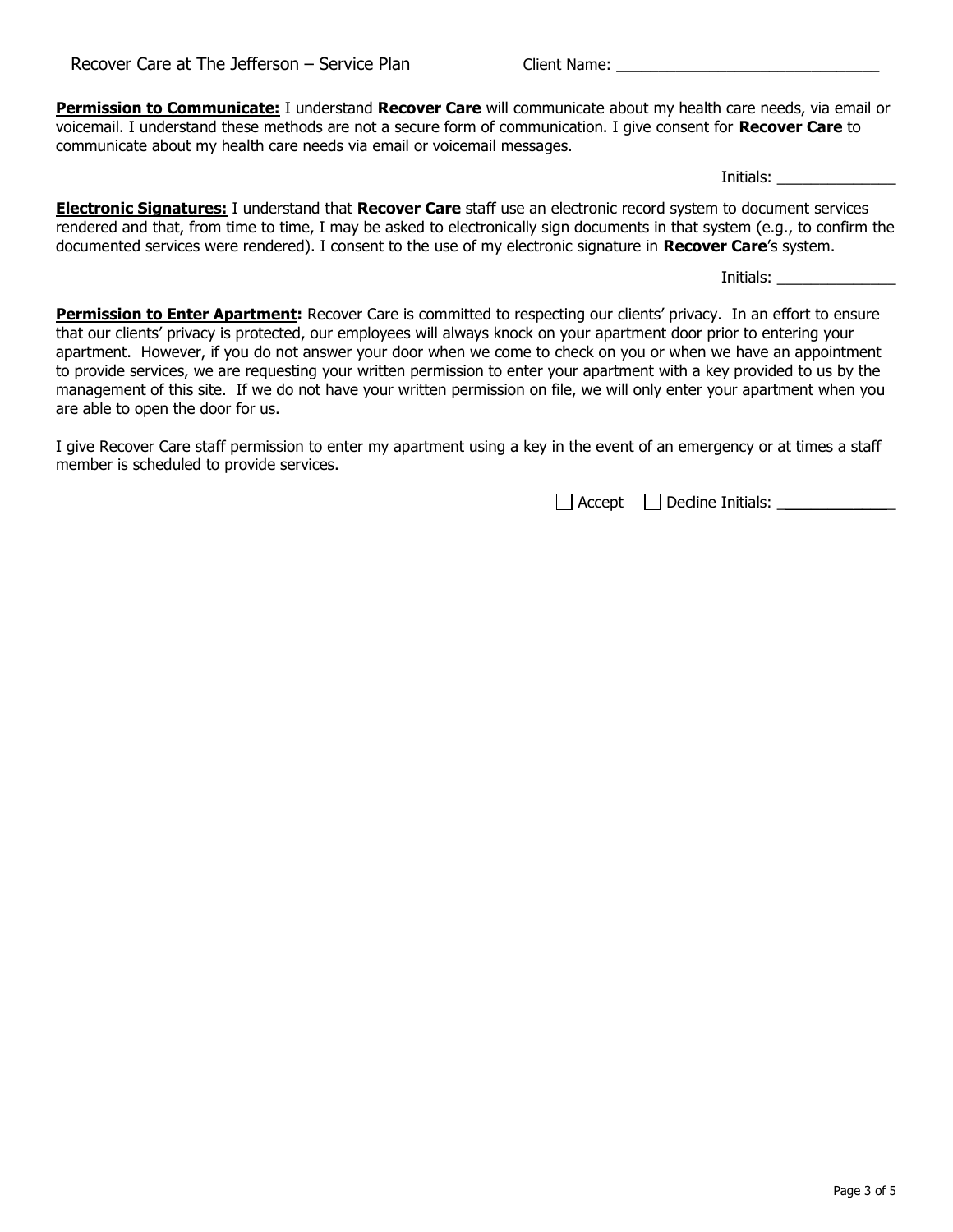Permission to Communicate: I understand Recover Care will communicate about my health care needs, via email or voicemail. I understand these methods are not a secure form of communication. I give consent for Recover Care to communicate about my health care needs via email or voicemail messages.

Initials: \_\_\_\_\_\_\_\_\_\_\_\_\_\_

**Electronic Signatures:** I understand that **Recover Care** staff use an electronic record system to document services rendered and that, from time to time, I may be asked to electronically sign documents in that system (e.g., to confirm the documented services were rendered). I consent to the use of my electronic signature in **Recover Care's** system.

Initials: \_\_\_\_\_\_\_\_\_\_\_\_\_\_

Permission to Enter Apartment: Recover Care is committed to respecting our clients' privacy. In an effort to ensure that our clients' privacy is protected, our employees will always knock on your apartment door prior to entering your apartment. However, if you do not answer your door when we come to check on you or when we have an appointment to provide services, we are requesting your written permission to enter your apartment with a key provided to us by the management of this site. If we do not have your written permission on file, we will only enter your apartment when you are able to open the door for us.

I give Recover Care staff permission to enter my apartment using a key in the event of an emergency or at times a staff member is scheduled to provide services.

 $\Box$  Accept  $\Box$  Decline Initials:  $\Box$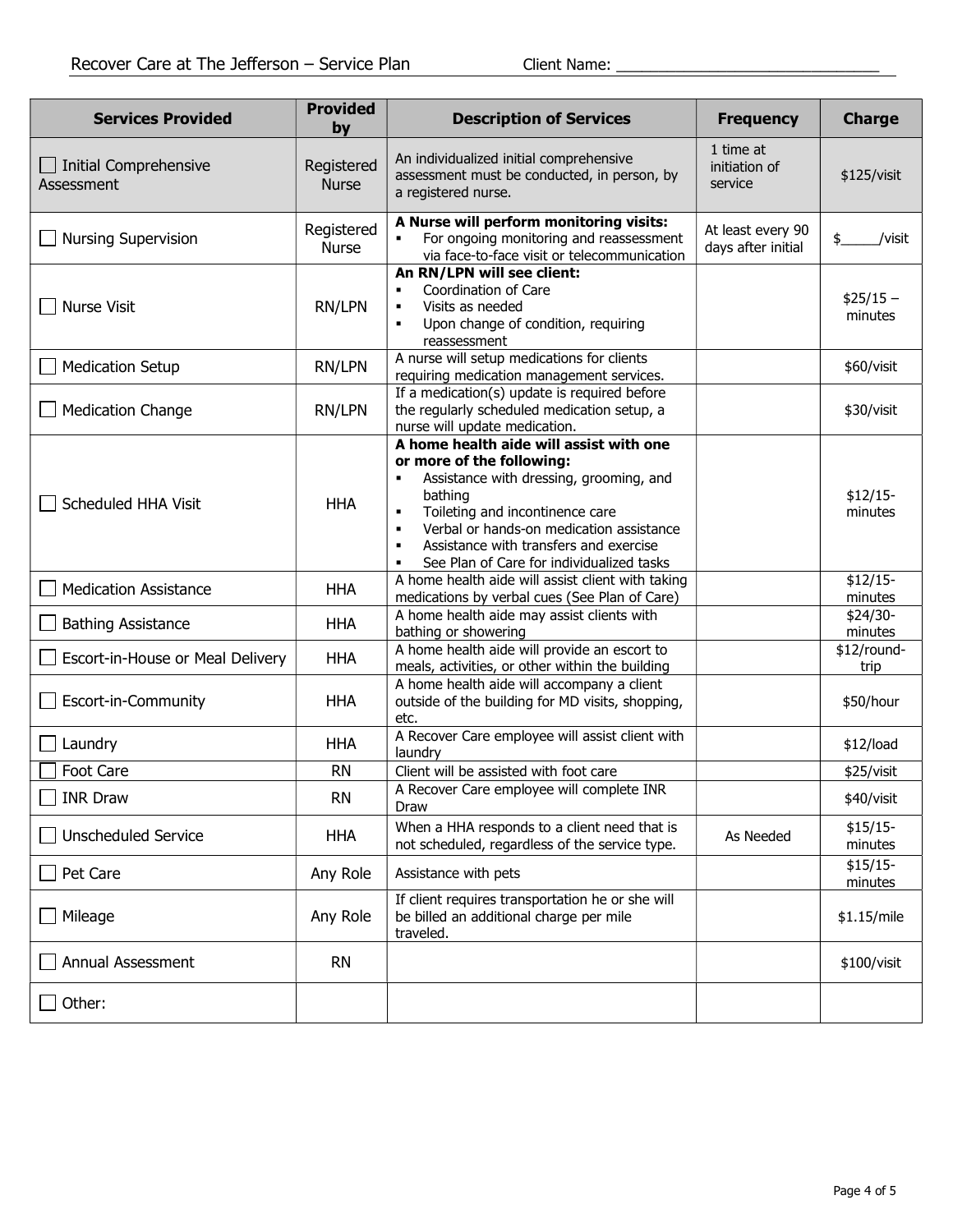| <b>Services Provided</b>                   | <b>Provided</b><br>by      | <b>Description of Services</b>                                                                                                                                                                                                                                                                                     | <b>Frequency</b>                        | <b>Charge</b>         |
|--------------------------------------------|----------------------------|--------------------------------------------------------------------------------------------------------------------------------------------------------------------------------------------------------------------------------------------------------------------------------------------------------------------|-----------------------------------------|-----------------------|
| $\Box$ Initial Comprehensive<br>Assessment | Registered<br><b>Nurse</b> | An individualized initial comprehensive<br>assessment must be conducted, in person, by<br>a registered nurse.                                                                                                                                                                                                      | 1 time at<br>initiation of<br>service   | \$125/visit           |
| <b>Nursing Supervision</b>                 | Registered<br><b>Nurse</b> | A Nurse will perform monitoring visits:<br>For ongoing monitoring and reassessment<br>via face-to-face visit or telecommunication                                                                                                                                                                                  | At least every 90<br>days after initial | \$.<br>/visit         |
| <b>Nurse Visit</b>                         | RN/LPN                     | An RN/LPN will see client:<br>Coordination of Care<br>Visits as needed<br>Upon change of condition, requiring<br>reassessment                                                                                                                                                                                      |                                         | $$25/15 -$<br>minutes |
| <b>Medication Setup</b>                    | RN/LPN                     | A nurse will setup medications for clients<br>requiring medication management services.                                                                                                                                                                                                                            |                                         | \$60/visit            |
| <b>Medication Change</b>                   | RN/LPN                     | If a medication(s) update is required before<br>the regularly scheduled medication setup, a<br>nurse will update medication.                                                                                                                                                                                       |                                         | \$30/visit            |
| Scheduled HHA Visit                        | <b>HHA</b>                 | A home health aide will assist with one<br>or more of the following:<br>Assistance with dressing, grooming, and<br>bathing<br>Toileting and incontinence care<br>Verbal or hands-on medication assistance<br>Assistance with transfers and exercise<br>$\blacksquare$<br>See Plan of Care for individualized tasks |                                         | $$12/15-$<br>minutes  |
| <b>Medication Assistance</b>               | <b>HHA</b>                 | A home health aide will assist client with taking<br>medications by verbal cues (See Plan of Care)                                                                                                                                                                                                                 |                                         | $$12/15-$<br>minutes  |
| <b>Bathing Assistance</b>                  | <b>HHA</b>                 | A home health aide may assist clients with<br>bathing or showering                                                                                                                                                                                                                                                 |                                         | \$24/30-<br>minutes   |
| Escort-in-House or Meal Delivery           | <b>HHA</b>                 | A home health aide will provide an escort to<br>meals, activities, or other within the building                                                                                                                                                                                                                    |                                         | \$12/round-<br>trip   |
| Escort-in-Community                        | <b>HHA</b>                 | A home health aide will accompany a client<br>outside of the building for MD visits, shopping,<br>etc.                                                                                                                                                                                                             |                                         | \$50/hour             |
| Laundry                                    | <b>HHA</b>                 | A Recover Care employee will assist client with<br>laundry                                                                                                                                                                                                                                                         |                                         | \$12/load             |
| Foot Care                                  | <b>RN</b>                  | Client will be assisted with foot care                                                                                                                                                                                                                                                                             |                                         | \$25/visit            |
| $\Box$ INR Draw                            | <b>RN</b>                  | A Recover Care employee will complete INR<br>Draw                                                                                                                                                                                                                                                                  |                                         | \$40/visit            |
| <b>Unscheduled Service</b>                 | <b>HHA</b>                 | When a HHA responds to a client need that is<br>not scheduled, regardless of the service type.                                                                                                                                                                                                                     | As Needed                               | $$15/15-$<br>minutes  |
| Pet Care                                   | Any Role                   | Assistance with pets                                                                                                                                                                                                                                                                                               |                                         | $$15/15-$<br>minutes  |
| Mileage                                    | Any Role                   | If client requires transportation he or she will<br>be billed an additional charge per mile<br>traveled.                                                                                                                                                                                                           |                                         | \$1.15/mile           |
| Annual Assessment                          | <b>RN</b>                  |                                                                                                                                                                                                                                                                                                                    |                                         | \$100/vist            |
| Other:                                     |                            |                                                                                                                                                                                                                                                                                                                    |                                         |                       |